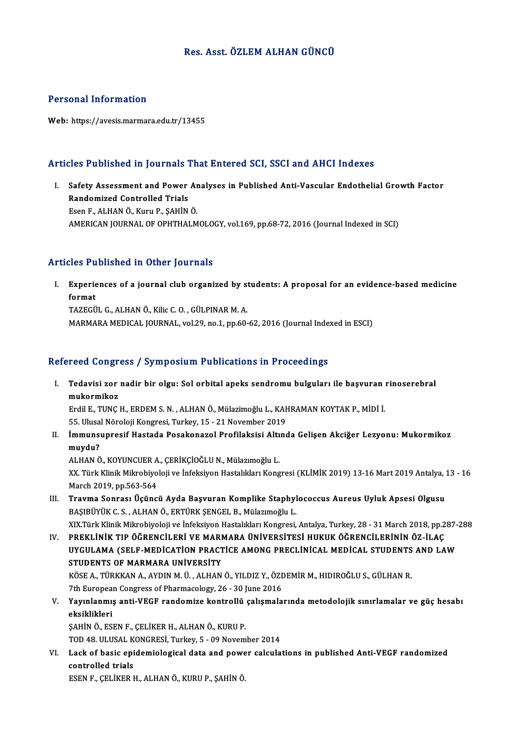### Res. Asst. ÖZLEMALHAN GÜNCÜ

#### Personal Information

Web: https://avesis.marmara.edu.tr/13455

## Articles Published in Journals That Entered SCI, SSCI and AHCI Indexes

rticles Published in Journals That Entered SCI, SSCI and AHCI Indexes<br>I. Safety Assessment and Power Analyses in Published Anti-Vascular Endothelial Growth Factor<br>Randomized Controlled Triels Safety Assessment and Power<br>Randomized Controlled Trials<br>Esen E. ALHAN Ö. Kuru B. SAHİN Safety Assessment and Power Ar<br>Randomized Controlled Trials<br>Esen F., ALHAN Ö., Kuru P., ŞAHİN Ö.<br>AMERICAN IQURNAL OF OPUTHALM Randomized Controlled Trials<br>Esen F., ALHAN Ö., Kuru P., ŞAHİN Ö.<br>AMERICAN JOURNAL OF OPHTHALMOLOGY, vol.169, pp.68-72, 2016 (Journal Indexed in SCI)

#### Articles Published in Other Journals

rticles Published in Other Journals<br>I. Experiences of a journal club organized by students: A proposal for an evidence-based medicine<br>formet *format*<br>Experie<br>TAZECÜ TAZEGÜLG.,ALHANÖ.,KilicC.O. ,GÜLPINARM.A. MARMARA MEDICAL JOURNAL, vol.29, no.1, pp.60-62, 2016 (Journal Indexed in ESCI)

#### Refereed Congress / Symposium Publications in Proceedings

efereed Congress / Symposium Publications in Proceedings<br>I. Tedavisi zor nadir bir olgu: Sol orbital apeks sendromu bulguları ile başvuran rinoserebral<br>mukarmikar rood dong.<br>Tedavisi zor<br>mukormikoz<br><sup>Erdil E.</sup> TUNC Tedavisi zor nadir bir olgu: Sol orbital apeks sendromu bulguları ile başvuran :<br>mukormikoz<br>Erdil E., TUNÇ H., ERDEM S. N. , ALHAN Ö., Mülazimoğlu L., KAHRAMAN KOYTAK P., MİDİ İ.<br>55 Ulucal Nöroloji Kongresi Turkov 15 - 21

mukormikoz<br>Erdil E., TUNÇ H., ERDEM S. N. , ALHAN Ö., Mülazimoğlu L., KAHRAMAN KOYTAK P., MİDİ İ.<br>55. Ulusal Nöroloji Kongresi, Turkey, 15 - 21 November 2019 Erdil E., TUNÇ H., ERDEM S. N. , ALHAN Ö., Mülazimoğlu L., KAHRAMAN KOYTAK P., MİDİ İ.<br>55. Ulusal Nöroloji Kongresi, Turkey, 15 - 21 November 2019<br>II. İmmunsupresif Hastada Posakonazol Profilaksisi Altında Gelişen Akciğer

55. Ulusa<br>İmmunsı<br>muydu?<br>^LHANÖ İmmunsupresif Hastada Posakonazol Profilaksisi Altı<br>muydu?<br>ALHAN Ö., KOYUNCUER A., ÇERİKÇİOĞLU N., Mülazımoğlu L.<br>YY. Türk Klinik Milmebiyeleji ve İnfeksiyen Hestalıkları Kong

**muydu?**<br>ALHAN Ö., KOYUNCUER A., ÇERİKÇİOĞLU N., Mülazımoğlu L.<br>XX. Türk Klinik Mikrobiyoloji ve İnfeksiyon Hastalıkları Kongresi (KLİMİK 2019) 13-16 Mart 2019 Antalya, 13 - 16<br>Marsh 2010, pp 563,564 ALHAN Ö., KOYUNCUER A<br>XX. Türk Klinik Mikrobiyo<br>March 2019, pp.563-564<br>Trayma Sonrası Heüne XX. Türk Klinik Mikrobiyoloji ve İnfeksiyon Hastalıkları Kongresi (KLİMİK 2019) 13-16 Mart 2019 Antalya, :<br>March 2019, pp.563-564<br>III. Travma Sonrası Üçüncü Ayda Başvuran Komplike Staphylococcus Aureus Uyluk Apsesi Olg

- March 2019, pp.563-564<br>Travma Sonrası Üçüncü Ayda Başvuran Komplike Staphyl<br>BAŞIBÜYÜK C. S. , ALHAN Ö., ERTÜRK ŞENGEL B., Mülazımoğlu L.<br>YIV Türk Klinik Milmebiyeleji ve İnfeksiyen Hestablıları Kongresi Travma Sonrası Üçüncü Ayda Başvuran Komplike Staphylococcus Aureus Uyluk Apsesi Olgusu<br>BAŞIBÜYÜK C. S. , ALHAN Ö., ERTÜRK ŞENGEL B., Mülazımoğlu L.<br>XIX.Türk Klinik Mikrobiyoloji ve İnfeksiyon Hastalıkları Kongresi, Antalya BAŞIBÜYÜK C. S. , ALHAN Ö., ERTÜRK ŞENGEL B., Mülazımoğlu L.<br>IV. Türk Klinik Mikrobiyoloji ve İnfeksiyon Hastalıkları Kongresi, Antalya, Turkey, 28 - 31 March 2018, pp.287-288<br>IV. PREKLİNİK TIP ÖĞRENCİLERİ VE MARMARA Ü
- XIX.Türk Klinik Mikrobiyoloji ve İnfeksiyon Hastalıkları Kongresi, Antalya, Turkey, 28 31 March 2018, pp.287-<br>PREKLİNİK TIP ÖĞRENCİLERİ VE MARMARA ÜNİVERSİTESİ HUKUK ÖĞRENCİLERİNİN ÖZ-İLAÇ<br>UYGULAMA (SELF-MEDİCATİON PRACT PREKLINIK TIP ÖĞRENCILERI VE MARI<br>UYGULAMA (SELF-MEDICATION PRACT<br>STUDENTS OF MARMARA UNIVERSITY<br>KÖSE A TÜRKKAN A AYDINM Ü. ALHAN STUDENTS OF MARMARA UNİVERSİTY<br>KÖSE A., TÜRKKAN A., AYDIN M. Ü. , ALHAN Ö., YILDIZ Y., ÖZDEMİR M., HIDIROĞLU S., GÜLHAN R. STUDENTS OF MARMARA UNİVERSİTY<br>KÖSE A., TÜRKKAN A., AYDIN M. Ü. , ALHAN Ö., YILDIZ Y., ÖZI<br>7th European Congress of Pharmacology, 26 - 30 June 2016<br>Yayınlanmış anti KECE randamize kantrallü salışmala

V. Yayınlanmış anti-VEGF randomize kontrollü çalışmalarında metodolojik sınırlamalar ve güç hesabı<br>eksiklikleri 7th Europea<br>Y<mark>ayınlanmı</mark>:<br>eksiklikleri<br>s<u>ayin ö. Es</u>

ŞAHİNÖ.,ESENF.,ÇELİKERH.,ALHANÖ.,KURUP. eksiklikleri<br>ŞAHİN Ö., ESEN F., ÇELİKER H., ALHAN Ö., KURU P.<br>TOD 48. ULUSAL KONGRESİ, Turkey, 5 - 09 November 2014<br>Lask ef basis enidemialesisel data and novyar salayla

VI. Lack of basic epidemiological data and power calculations in published Anti-VEGF randomized TOD 48. ULUSAL K<br>Lack of basic epi<br>controlled trials<br>ESEN E. CELUER L

ESENF.,ÇELİKERH.,ALHANÖ.,KURUP.,ŞAHİNÖ.